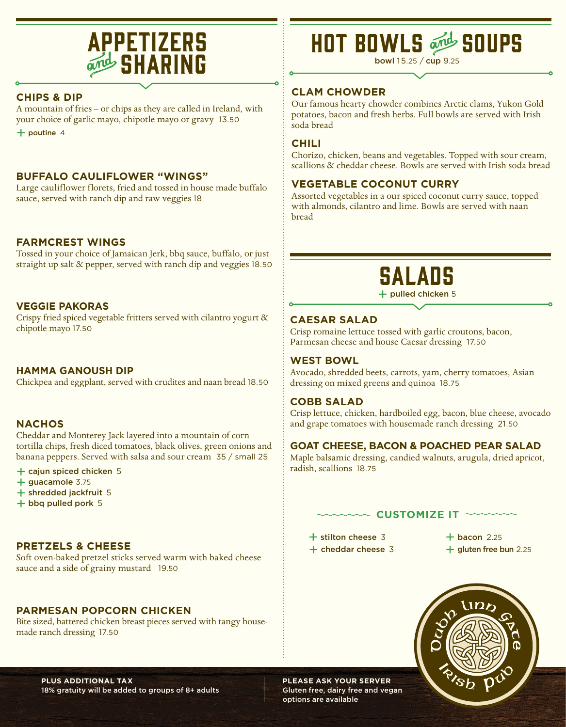### **APPETIZERS SHARING**

### **CHIPS & DIP**

A mountain of fries – or chips as they are called in Ireland, with your choice of garlic mayo, chipotle mayo or gravy 13.50 + poutine <sup>4</sup>

### **BUFFALO CAULIFLOWER "WINGS"**

Large cauliflower florets, fried and tossed in house made buffalo sauce, served with ranch dip and raw veggies 18

### **FARMCREST WINGS**

Tossed in your choice of Jamaican Jerk, bbq sauce, buffalo, or just straight up salt & pepper, served with ranch dip and veggies 18.50

### **VEGGIE PAKORAS**

Crispy fried spiced vegetable fritters served with cilantro yogurt & chipotle mayo 17.50

### **HAMMA GANOUSH DIP**

Chickpea and eggplant, served with crudites and naan bread 18.50

### **NACHOS**

Cheddar and Monterey Jack layered into a mountain of corn tortilla chips, fresh diced tomatoes, black olives, green onions and banana peppers. Served with salsa and sour cream 35 / small 25

- $+$  cajun spiced chicken  $5$
- $+$  guacamole 3.75
- + shredded jackfruit <sup>5</sup>
- + bbq pulled pork <sup>5</sup>

### **PRETZELS & CHEESE**

Soft oven-baked pretzel sticks served warm with baked cheese sauce and a side of grainy mustard 19.50

### **PARMESAN POPCORN CHICKEN**

Bite sized, battered chicken breast pieces served with tangy housemade ranch dressing 17.50

# HOT BOWLS SOUPS

bowl 15.25 / cup 9.25

### **CLAM CHOWDER**

Our famous hearty chowder combines Arctic clams, Yukon Gold potatoes, bacon and fresh herbs. Full bowls are served with Irish soda bread

### **CHILI**

Chorizo, chicken, beans and vegetables. Topped with sour cream, scallions & cheddar cheese. Bowls are served with Irish soda bread

### **VEGETABLE COCONUT CURRY**

Assorted vegetables in a our spiced coconut curry sauce, topped with almonds, cilantro and lime. Bowls are served with naan bread



 $+$  pulled chicken 5

### **CAESAR SALAD**

Crisp romaine lettuce tossed with garlic croutons, bacon, Parmesan cheese and house Caesar dressing 17.50

#### **WEST BOWL**

Avocado, shredded beets, carrots, yam, cherry tomatoes, Asian dressing on mixed greens and quinoa 18.75

### **COBB SALAD**

Crisp lettuce, chicken, hardboiled egg, bacon, blue cheese, avocado and grape tomatoes with housemade ranch dressing 21.50

### **GOAT CHEESE, BACON & POACHED PEAR SALAD**

Maple balsamic dressing, candied walnuts, arugula, dried apricot, radish, scallions 18.75

### $\sim$  Customize it  $\sim$

 $+$  stilton cheese 3  $+$  bacon 2.25

 $+$  cheddar cheese 3  $+$  gluten free bun 2.25



**PLUS ADDITIONAL TAX**  18% gratuity will be added to groups of 8+ adults **PLEASE ASK YOUR SERVER** Gluten free, dairy free and vegan options are available